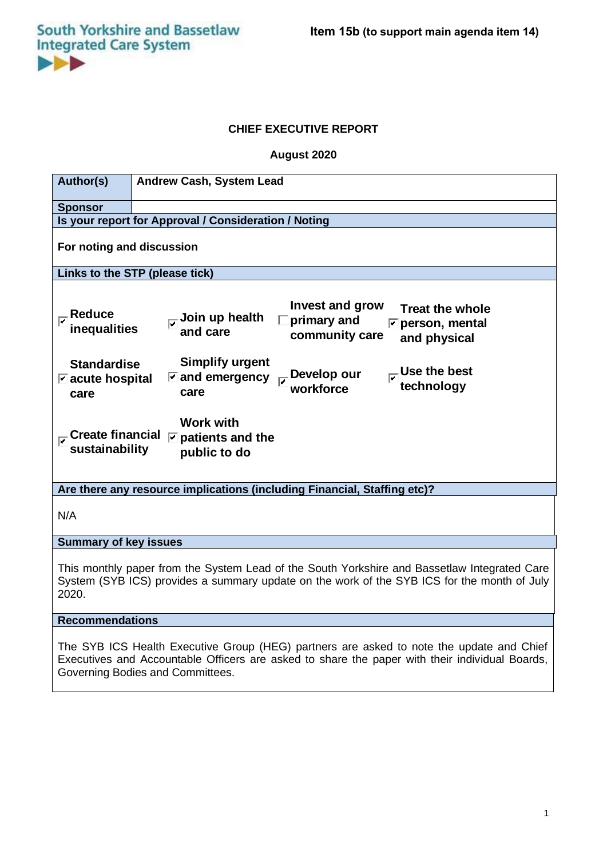# **CHIEF EXECUTIVE REPORT**

**August 2020**

| Author(s)                                                                                                                                                                                            | <b>Andrew Cash, System Lead</b>                                                                                                                                                                                                                                                                                                                                           |
|------------------------------------------------------------------------------------------------------------------------------------------------------------------------------------------------------|---------------------------------------------------------------------------------------------------------------------------------------------------------------------------------------------------------------------------------------------------------------------------------------------------------------------------------------------------------------------------|
| <b>Sponsor</b>                                                                                                                                                                                       |                                                                                                                                                                                                                                                                                                                                                                           |
| Is your report for Approval / Consideration / Noting                                                                                                                                                 |                                                                                                                                                                                                                                                                                                                                                                           |
| For noting and discussion                                                                                                                                                                            |                                                                                                                                                                                                                                                                                                                                                                           |
| Links to the STP (please tick)                                                                                                                                                                       |                                                                                                                                                                                                                                                                                                                                                                           |
| <b>Reduce</b><br>inequalities<br><b>Standardise</b><br>$\triangleright$ acute hospital<br>care<br>$_{\overline{\bm{\mathsf{\omega}}}}$ Create financial<br>sustainability                            | <b>Invest and grow</b><br><b>Treat the whole</b><br>Join up health<br>primary and<br>$\triangleright$ person, mental<br>and care<br>community care<br>and physical<br><b>Simplify urgent</b><br>Use the best<br>Develop our<br>$\triangleright$ and emergency<br>technology<br>workforce<br>care<br><b>Work with</b><br>$\triangleright$ patients and the<br>public to do |
| Are there any resource implications (including Financial, Staffing etc)?                                                                                                                             |                                                                                                                                                                                                                                                                                                                                                                           |
| N/A                                                                                                                                                                                                  |                                                                                                                                                                                                                                                                                                                                                                           |
| <b>Summary of key issues</b>                                                                                                                                                                         |                                                                                                                                                                                                                                                                                                                                                                           |
| This monthly paper from the System Lead of the South Yorkshire and Bassetlaw Integrated Care<br>System (SYB ICS) provides a summary update on the work of the SYB ICS for the month of July<br>2020. |                                                                                                                                                                                                                                                                                                                                                                           |

#### **Recommendations**

The SYB ICS Health Executive Group (HEG) partners are asked to note the update and Chief Executives and Accountable Officers are asked to share the paper with their individual Boards, Governing Bodies and Committees.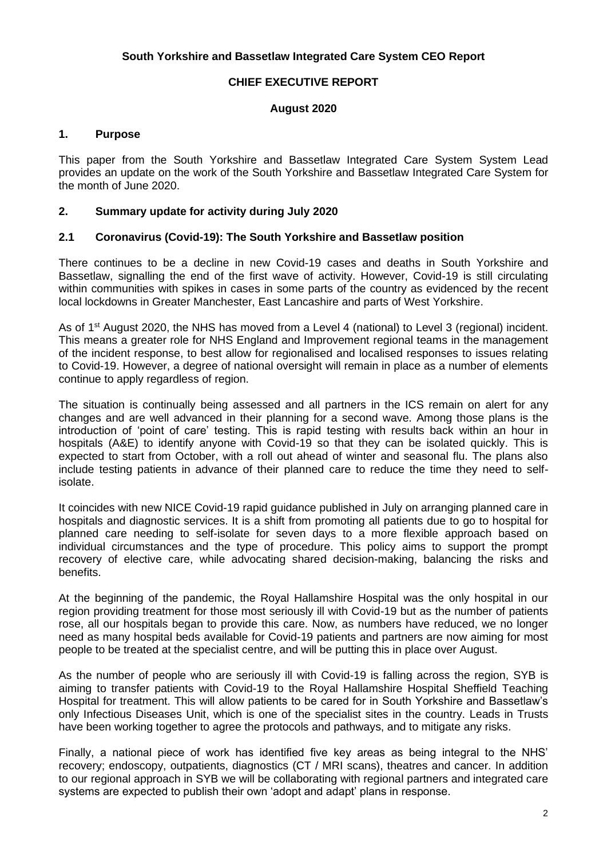## **South Yorkshire and Bassetlaw Integrated Care System CEO Report**

## **CHIEF EXECUTIVE REPORT**

#### **August 2020**

## **1. Purpose**

This paper from the South Yorkshire and Bassetlaw Integrated Care System System Lead provides an update on the work of the South Yorkshire and Bassetlaw Integrated Care System for the month of June 2020.

#### **2. Summary update for activity during July 2020**

#### **2.1 Coronavirus (Covid-19): The South Yorkshire and Bassetlaw position**

There continues to be a decline in new Covid-19 cases and deaths in South Yorkshire and Bassetlaw, signalling the end of the first wave of activity. However, Covid-19 is still circulating within communities with spikes in cases in some parts of the country as evidenced by the recent local lockdowns in Greater Manchester, East Lancashire and parts of West Yorkshire.

As of 1<sup>st</sup> August 2020, the NHS has moved from a Level 4 (national) to Level 3 (regional) incident. This means a greater role for NHS England and Improvement regional teams in the management of the incident response, to best allow for regionalised and localised responses to issues relating to Covid-19. However, a degree of national oversight will remain in place as a number of elements continue to apply regardless of region.

The situation is continually being assessed and all partners in the ICS remain on alert for any changes and are well advanced in their planning for a second wave. Among those plans is the introduction of 'point of care' testing. This is rapid testing with results back within an hour in hospitals (A&E) to identify anyone with Covid-19 so that they can be isolated quickly. This is expected to start from October, with a roll out ahead of winter and seasonal flu. The plans also include testing patients in advance of their planned care to reduce the time they need to selfisolate.

It coincides with new NICE Covid-19 rapid guidance published in July on arranging planned care in hospitals and diagnostic services. It is a shift from promoting all patients due to go to hospital for planned care needing to self-isolate for seven days to a more flexible approach based on individual circumstances and the type of procedure. This policy aims to support the prompt recovery of elective care, while advocating shared decision-making, balancing the risks and benefits.

At the beginning of the pandemic, the Royal Hallamshire Hospital was the only hospital in our region providing treatment for those most seriously ill with Covid-19 but as the number of patients rose, all our hospitals began to provide this care. Now, as numbers have reduced, we no longer need as many hospital beds available for Covid-19 patients and partners are now aiming for most people to be treated at the specialist centre, and will be putting this in place over August.

As the number of people who are seriously ill with Covid-19 is falling across the region, SYB is aiming to transfer patients with Covid-19 to the Royal Hallamshire Hospital Sheffield Teaching Hospital for treatment. This will allow patients to be cared for in South Yorkshire and Bassetlaw's only Infectious Diseases Unit, which is one of the specialist sites in the country. Leads in Trusts have been working together to agree the protocols and pathways, and to mitigate any risks.

Finally, a national piece of work has identified five key areas as being integral to the NHS' recovery; endoscopy, outpatients, diagnostics (CT / MRI scans), theatres and cancer. In addition to our regional approach in SYB we will be collaborating with regional partners and integrated care systems are expected to publish their own 'adopt and adapt' plans in response.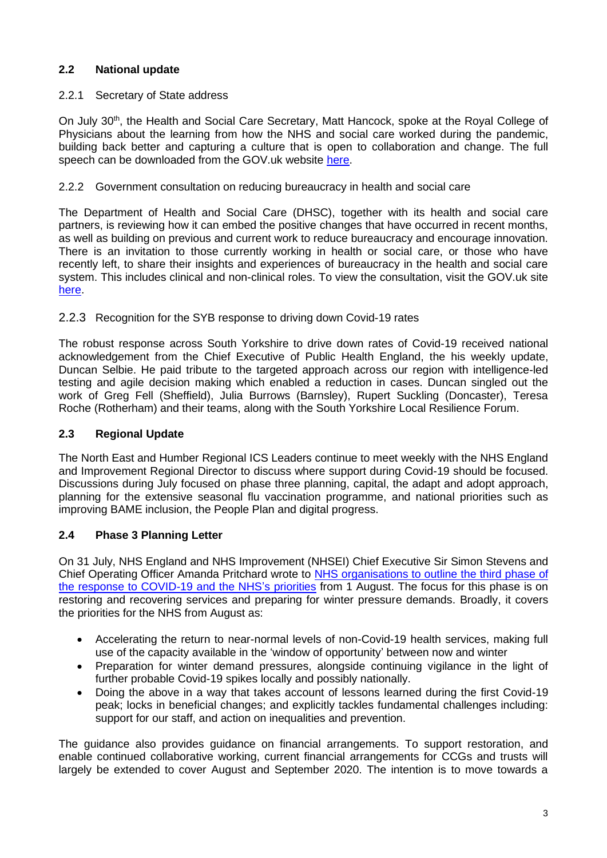# **2.2 National update**

# 2.2.1 Secretary of State address

On July 30<sup>th</sup>, the Health and Social Care Secretary, Matt Hancock, spoke at the Royal College of Physicians about the learning from how the NHS and social care worked during the pandemic, building back better and capturing a culture that is open to collaboration and change. The full speech can be downloaded from the GOV.uk website [here.](https://www.gov.uk/government/speeches/the-future-of-healthcare)

# 2.2.2 Government consultation on reducing bureaucracy in health and social care

The Department of Health and Social Care (DHSC), together with its health and social care partners, is reviewing how it can embed the positive changes that have occurred in recent months, as well as building on previous and current work to reduce bureaucracy and encourage innovation. There is an invitation to those currently working in health or social care, or those who have recently left, to share their insights and experiences of bureaucracy in the health and social care system. This includes clinical and non-clinical roles. To view the consultation, visit the GOV.uk site [here.](https://www.gov.uk/government/consultations/reducing-bureaucracy-in-the-health-and-social-care-system-call-for-evidence/reducing-bureaucracy-in-the-health-and-social-care-system-background-and-questions)

# 2.2.3 Recognition for the SYB response to driving down Covid-19 rates

The robust response across South Yorkshire to drive down rates of Covid-19 received national acknowledgement from the Chief Executive of Public Health England, the his weekly update, Duncan Selbie. He paid tribute to the targeted approach across our region with intelligence-led testing and agile decision making which enabled a reduction in cases. Duncan singled out the work of Greg Fell (Sheffield), Julia Burrows (Barnsley), Rupert Suckling (Doncaster), Teresa Roche (Rotherham) and their teams, along with the South Yorkshire Local Resilience Forum.

# **2.3 Regional Update**

The North East and Humber Regional ICS Leaders continue to meet weekly with the NHS England and Improvement Regional Director to discuss where support during Covid-19 should be focused. Discussions during July focused on phase three planning, capital, the adapt and adopt approach, planning for the extensive seasonal flu vaccination programme, and national priorities such as improving BAME inclusion, the People Plan and digital progress.

# **2.4 Phase 3 Planning Letter**

On 31 July, NHS England and NHS Improvement (NHSEI) Chief Executive Sir Simon Stevens and Chief Operating Officer Amanda Pritchard wrote to [NHS organisations to outline the third phase of](https://www.england.nhs.uk/coronavirus/wp-content/uploads/sites/52/2020/07/Phase-3-letter-July-31-2020.pdf)  [the response to COVID-19 and the NHS](https://www.england.nhs.uk/coronavirus/wp-content/uploads/sites/52/2020/07/Phase-3-letter-July-31-2020.pdf)'s priorities from 1 August. The focus for this phase is on restoring and recovering services and preparing for winter pressure demands. Broadly, it covers the priorities for the NHS from August as:

- Accelerating the return to near-normal levels of non-Covid-19 health services, making full use of the capacity available in the 'window of opportunity' between now and winter
- Preparation for winter demand pressures, alongside continuing vigilance in the light of further probable Covid-19 spikes locally and possibly nationally.
- Doing the above in a way that takes account of lessons learned during the first Covid-19 peak; locks in beneficial changes; and explicitly tackles fundamental challenges including: support for our staff, and action on inequalities and prevention.

The guidance also provides guidance on financial arrangements. To support restoration, and enable continued collaborative working, current financial arrangements for CCGs and trusts will largely be extended to cover August and September 2020. The intention is to move towards a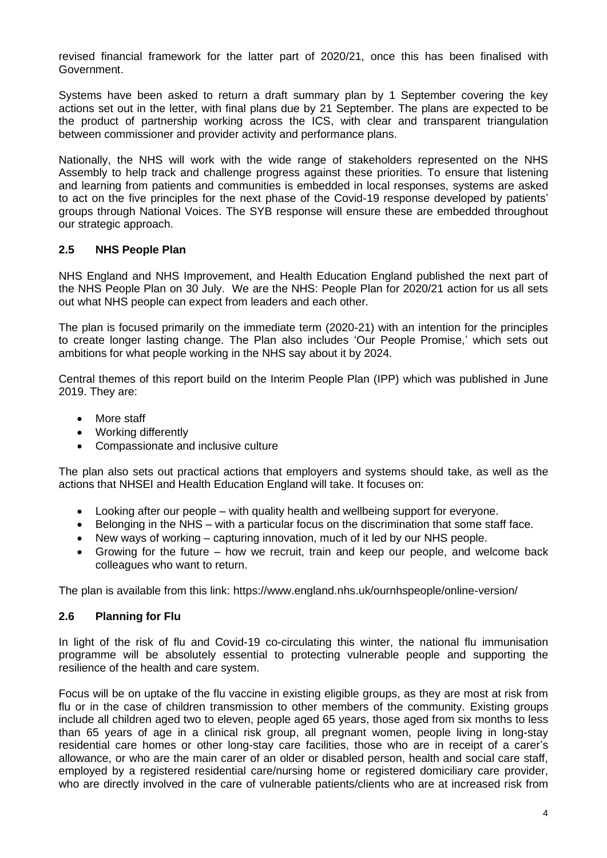revised financial framework for the latter part of 2020/21, once this has been finalised with Government.

Systems have been asked to return a draft summary plan by 1 September covering the key actions set out in the letter, with final plans due by 21 September. The plans are expected to be the product of partnership working across the ICS, with clear and transparent triangulation between commissioner and provider activity and performance plans.

Nationally, the NHS will work with the wide range of stakeholders represented on the NHS Assembly to help track and challenge progress against these priorities. To ensure that listening and learning from patients and communities is embedded in local responses, systems are asked to act on the five principles for the next phase of the Covid-19 response developed by patients' groups through National Voices. The SYB response will ensure these are embedded throughout our strategic approach.

# **2.5 NHS People Plan**

NHS England and NHS Improvement, and Health Education England published the next part of the NHS People Plan on 30 July. We are the NHS: People Plan for 2020/21 action for us all sets out what NHS people can expect from leaders and each other.

The plan is focused primarily on the immediate term (2020-21) with an intention for the principles to create longer lasting change. The Plan also includes 'Our People Promise,' which sets out ambitions for what people working in the NHS say about it by 2024.

Central themes of this report build on the Interim People Plan (IPP) which was published in June 2019. They are:

- More staff
- Working differently
- Compassionate and inclusive culture

The plan also sets out practical actions that employers and systems should take, as well as the actions that NHSEI and Health Education England will take. It focuses on:

- Looking after our people with quality health and wellbeing support for everyone.
- Belonging in the NHS with a particular focus on the discrimination that some staff face.
- New ways of working capturing innovation, much of it led by our NHS people.
- Growing for the future how we recruit, train and keep our people, and welcome back colleagues who want to return.

The plan is available from this link: https://www.england.nhs.uk/ournhspeople/online-version/

## **2.6 Planning for Flu**

In light of the risk of flu and Covid-19 co-circulating this winter, the national flu immunisation programme will be absolutely essential to protecting vulnerable people and supporting the resilience of the health and care system.

Focus will be on uptake of the flu vaccine in existing eligible groups, as they are most at risk from flu or in the case of children transmission to other members of the community. Existing groups include all children aged two to eleven, people aged 65 years, those aged from six months to less than 65 years of age in a clinical risk group, all pregnant women, people living in long-stay residential care homes or other long-stay care facilities, those who are in receipt of a carer's allowance, or who are the main carer of an older or disabled person, health and social care staff, employed by a registered residential care/nursing home or registered domiciliary care provider, who are directly involved in the care of vulnerable patients/clients who are at increased risk from